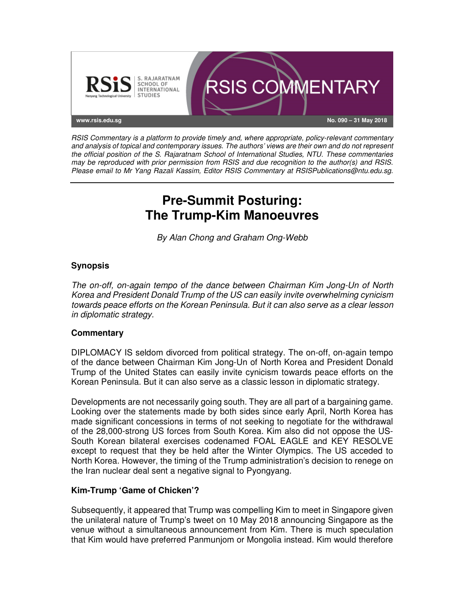

RSIS Commentary is a platform to provide timely and, where appropriate, policy-relevant commentary and analysis of topical and contemporary issues. The authors' views are their own and do not represent the official position of the S. Rajaratnam School of International Studies, NTU. These commentaries may be reproduced with prior permission from RSIS and due recognition to the author(s) and RSIS. Please email to Mr Yang Razali Kassim, Editor RSIS Commentary at RSISPublications@ntu.edu.sg.

# **Pre-Summit Posturing: The Trump-Kim Manoeuvres**

By Alan Chong and Graham Ong-Webb

## **Synopsis**

The on-off, on-again tempo of the dance between Chairman Kim Jong-Un of North Korea and President Donald Trump of the US can easily invite overwhelming cynicism towards peace efforts on the Korean Peninsula. But it can also serve as a clear lesson in diplomatic strategy.

## **Commentary**

DIPLOMACY IS seldom divorced from political strategy. The on-off, on-again tempo of the dance between Chairman Kim Jong-Un of North Korea and President Donald Trump of the United States can easily invite cynicism towards peace efforts on the Korean Peninsula. But it can also serve as a classic lesson in diplomatic strategy.

Developments are not necessarily going south. They are all part of a bargaining game. Looking over the statements made by both sides since early April, North Korea has made significant concessions in terms of not seeking to negotiate for the withdrawal of the 28,000-strong US forces from South Korea. Kim also did not oppose the US-South Korean bilateral exercises codenamed FOAL EAGLE and KEY RESOLVE except to request that they be held after the Winter Olympics. The US acceded to North Korea. However, the timing of the Trump administration's decision to renege on the Iran nuclear deal sent a negative signal to Pyongyang.

## **Kim-Trump 'Game of Chicken'?**

Subsequently, it appeared that Trump was compelling Kim to meet in Singapore given the unilateral nature of Trump's tweet on 10 May 2018 announcing Singapore as the venue without a simultaneous announcement from Kim. There is much speculation that Kim would have preferred Panmunjom or Mongolia instead. Kim would therefore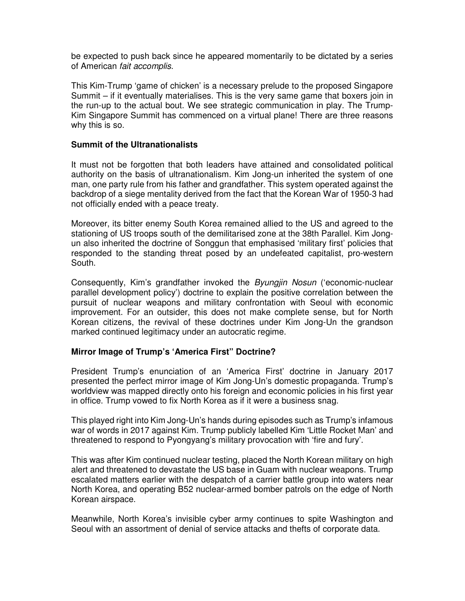be expected to push back since he appeared momentarily to be dictated by a series of American fait accomplis.

This Kim-Trump 'game of chicken' is a necessary prelude to the proposed Singapore Summit – if it eventually materialises. This is the very same game that boxers join in the run-up to the actual bout. We see strategic communication in play. The Trump-Kim Singapore Summit has commenced on a virtual plane! There are three reasons why this is so.

#### **Summit of the Ultranationalists**

It must not be forgotten that both leaders have attained and consolidated political authority on the basis of ultranationalism. Kim Jong-un inherited the system of one man, one party rule from his father and grandfather. This system operated against the backdrop of a siege mentality derived from the fact that the Korean War of 1950-3 had not officially ended with a peace treaty.

Moreover, its bitter enemy South Korea remained allied to the US and agreed to the stationing of US troops south of the demilitarised zone at the 38th Parallel. Kim Jongun also inherited the doctrine of Songgun that emphasised 'military first' policies that responded to the standing threat posed by an undefeated capitalist, pro-western South.

Consequently, Kim's grandfather invoked the *Byungjin Nosun* ('economic-nuclear parallel development policy') doctrine to explain the positive correlation between the pursuit of nuclear weapons and military confrontation with Seoul with economic improvement. For an outsider, this does not make complete sense, but for North Korean citizens, the revival of these doctrines under Kim Jong-Un the grandson marked continued legitimacy under an autocratic regime.

#### **Mirror Image of Trump's 'America First" Doctrine?**

President Trump's enunciation of an 'America First' doctrine in January 2017 presented the perfect mirror image of Kim Jong-Un's domestic propaganda. Trump's worldview was mapped directly onto his foreign and economic policies in his first year in office. Trump vowed to fix North Korea as if it were a business snag.

This played right into Kim Jong-Un's hands during episodes such as Trump's infamous war of words in 2017 against Kim. Trump publicly labelled Kim 'Little Rocket Man' and threatened to respond to Pyongyang's military provocation with 'fire and fury'.

This was after Kim continued nuclear testing, placed the North Korean military on high alert and threatened to devastate the US base in Guam with nuclear weapons. Trump escalated matters earlier with the despatch of a carrier battle group into waters near North Korea, and operating B52 nuclear-armed bomber patrols on the edge of North Korean airspace.

Meanwhile, North Korea's invisible cyber army continues to spite Washington and Seoul with an assortment of denial of service attacks and thefts of corporate data.